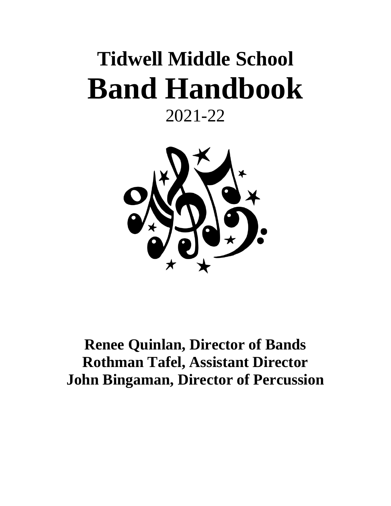# **Tidwell Middle School Band Handbook**

### 2021-22



### **Renee Quinlan, Director of Bands Rothman Tafel, Assistant Director John Bingaman, Director of Percussion**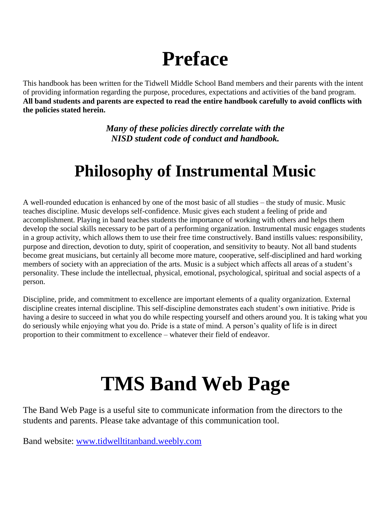### **Preface**

This handbook has been written for the Tidwell Middle School Band members and their parents with the intent of providing information regarding the purpose, procedures, expectations and activities of the band program. **All band students and parents are expected to read the entire handbook carefully to avoid conflicts with the policies stated herein.** 

> *Many of these policies directly correlate with the NISD student code of conduct and handbook.*

### **Philosophy of Instrumental Music**

A well-rounded education is enhanced by one of the most basic of all studies – the study of music. Music teaches discipline. Music develops self-confidence. Music gives each student a feeling of pride and accomplishment. Playing in band teaches students the importance of working with others and helps them develop the social skills necessary to be part of a performing organization. Instrumental music engages students in a group activity, which allows them to use their free time constructively. Band instills values: responsibility, purpose and direction, devotion to duty, spirit of cooperation, and sensitivity to beauty. Not all band students become great musicians, but certainly all become more mature, cooperative, self-disciplined and hard working members of society with an appreciation of the arts. Music is a subject which affects all areas of a student's personality. These include the intellectual, physical, emotional, psychological, spiritual and social aspects of a person.

Discipline, pride, and commitment to excellence are important elements of a quality organization. External discipline creates internal discipline. This self-discipline demonstrates each student's own initiative. Pride is having a desire to succeed in what you do while respecting yourself and others around you. It is taking what you do seriously while enjoying what you do. Pride is a state of mind. A person's quality of life is in direct proportion to their commitment to excellence – whatever their field of endeavor.

# **TMS Band Web Page**

The Band Web Page is a useful site to communicate information from the directors to the students and parents. Please take advantage of this communication tool.

Band website: [www.tidwelltitanband.weebly.com](http://www.tidwelltitanband.weebly.com/)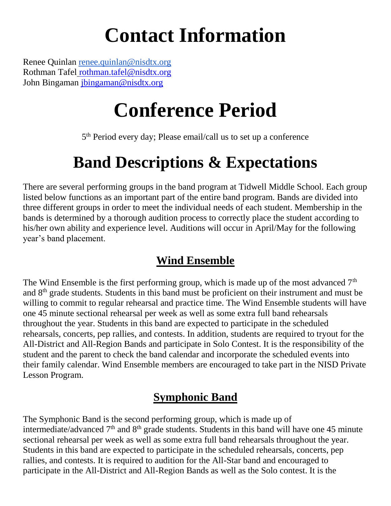## **Contact Information**

Renee Quinlan [renee.quinlan@nisdtx.org](mailto:renee.quinlan@nisdtx.org) Rothman Tafel rothman.tafel@nisdtx.org John Bingaman [jbingaman@nisdtx.org](mailto:jbingaman@nisdtx.org)

# **Conference Period**

5<sup>th</sup> Period every day; Please email/call us to set up a conference

### **Band Descriptions & Expectations**

There are several performing groups in the band program at Tidwell Middle School. Each group listed below functions as an important part of the entire band program. Bands are divided into three different groups in order to meet the individual needs of each student. Membership in the bands is determined by a thorough audition process to correctly place the student according to his/her own ability and experience level. Auditions will occur in April/May for the following year's band placement.

### **Wind Ensemble**

The Wind Ensemble is the first performing group, which is made up of the most advanced  $7<sup>th</sup>$ and 8th grade students. Students in this band must be proficient on their instrument and must be willing to commit to regular rehearsal and practice time. The Wind Ensemble students will have one 45 minute sectional rehearsal per week as well as some extra full band rehearsals throughout the year. Students in this band are expected to participate in the scheduled rehearsals, concerts, pep rallies, and contests. In addition, students are required to tryout for the All-District and All-Region Bands and participate in Solo Contest. It is the responsibility of the student and the parent to check the band calendar and incorporate the scheduled events into their family calendar. Wind Ensemble members are encouraged to take part in the NISD Private Lesson Program.

### **Symphonic Band**

The Symphonic Band is the second performing group, which is made up of intermediate/advanced 7<sup>th</sup> and 8<sup>th</sup> grade students. Students in this band will have one 45 minute sectional rehearsal per week as well as some extra full band rehearsals throughout the year. Students in this band are expected to participate in the scheduled rehearsals, concerts, pep rallies, and contests. It is required to audition for the All-Star band and encouraged to participate in the All-District and All-Region Bands as well as the Solo contest. It is the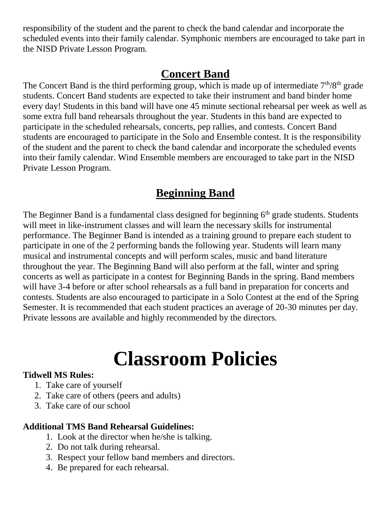responsibility of the student and the parent to check the band calendar and incorporate the scheduled events into their family calendar. Symphonic members are encouraged to take part in the NISD Private Lesson Program.

### **Concert Band**

The Concert Band is the third performing group, which is made up of intermediate  $7<sup>th</sup>/8<sup>th</sup>$  grade students. Concert Band students are expected to take their instrument and band binder home every day! Students in this band will have one 45 minute sectional rehearsal per week as well as some extra full band rehearsals throughout the year. Students in this band are expected to participate in the scheduled rehearsals, concerts, pep rallies, and contests. Concert Band students are encouraged to participate in the Solo and Ensemble contest. It is the responsibility of the student and the parent to check the band calendar and incorporate the scheduled events into their family calendar. Wind Ensemble members are encouraged to take part in the NISD Private Lesson Program.

### **Beginning Band**

The Beginner Band is a fundamental class designed for beginning  $6<sup>th</sup>$  grade students. Students will meet in like-instrument classes and will learn the necessary skills for instrumental performance. The Beginner Band is intended as a training ground to prepare each student to participate in one of the 2 performing bands the following year. Students will learn many musical and instrumental concepts and will perform scales, music and band literature throughout the year. The Beginning Band will also perform at the fall, winter and spring concerts as well as participate in a contest for Beginning Bands in the spring. Band members will have 3-4 before or after school rehearsals as a full band in preparation for concerts and contests. Students are also encouraged to participate in a Solo Contest at the end of the Spring Semester. It is recommended that each student practices an average of 20-30 minutes per day. Private lessons are available and highly recommended by the directors.

# **Classroom Policies**

#### **Tidwell MS Rules:**

- 1. Take care of yourself
- 2. Take care of others (peers and adults)
- 3. Take care of our school

#### **Additional TMS Band Rehearsal Guidelines:**

- 1. Look at the director when he/she is talking.
- 2. Do not talk during rehearsal.
- 3. Respect your fellow band members and directors.
- 4. Be prepared for each rehearsal.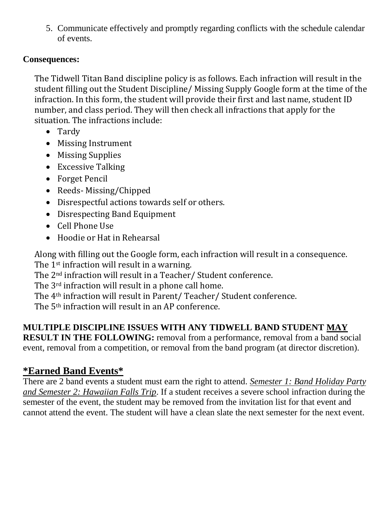5. Communicate effectively and promptly regarding conflicts with the schedule calendar of events.

#### **Consequences:**

The Tidwell Titan Band discipline policy is as follows. Each infraction will result in the student filling out the Student Discipline/ Missing Supply Google form at the time of the infraction. In this form, the student will provide their first and last name, student ID number, and class period. They will then check all infractions that apply for the situation. The infractions include:

- Tardy
- Missing Instrument
- Missing Supplies
- Excessive Talking
- Forget Pencil
- Reeds- Missing/Chipped
- Disrespectful actions towards self or others.
- Disrespecting Band Equipment
- Cell Phone Use
- Hoodie or Hat in Rehearsal

Along with filling out the Google form, each infraction will result in a consequence.

The 1<sup>st</sup> infraction will result in a warning.

The 2nd infraction will result in a Teacher/ Student conference.

The 3rd infraction will result in a phone call home.

The 4th infraction will result in Parent/ Teacher/ Student conference.

The 5th infraction will result in an AP conference.

#### **MULTIPLE DISCIPLINE ISSUES WITH ANY TIDWELL BAND STUDENT MAY**

**RESULT IN THE FOLLOWING:** removal from a performance, removal from a band social event, removal from a competition, or removal from the band program (at director discretion).

### **\*Earned Band Events\***

There are 2 band events a student must earn the right to attend. *Semester 1: Band Holiday Party and Semester 2: Hawaiian Falls Trip*. If a student receives a severe school infraction during the semester of the event, the student may be removed from the invitation list for that event and cannot attend the event. The student will have a clean slate the next semester for the next event.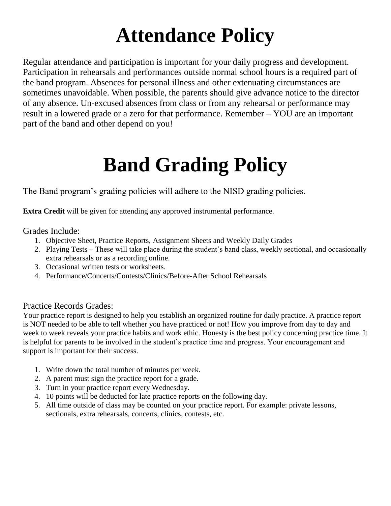# **Attendance Policy**

Regular attendance and participation is important for your daily progress and development. Participation in rehearsals and performances outside normal school hours is a required part of the band program. Absences for personal illness and other extenuating circumstances are sometimes unavoidable. When possible, the parents should give advance notice to the director of any absence. Un-excused absences from class or from any rehearsal or performance may result in a lowered grade or a zero for that performance. Remember – YOU are an important part of the band and other depend on you!

# **Band Grading Policy**

The Band program's grading policies will adhere to the NISD grading policies.

**Extra Credit** will be given for attending any approved instrumental performance.

#### Grades Include:

- 1. Objective Sheet, Practice Reports, Assignment Sheets and Weekly Daily Grades
- 2. Playing Tests These will take place during the student's band class, weekly sectional, and occasionally extra rehearsals or as a recording online.
- 3. Occasional written tests or worksheets.
- 4. Performance/Concerts/Contests/Clinics/Before-After School Rehearsals

#### Practice Records Grades:

Your practice report is designed to help you establish an organized routine for daily practice. A practice report is NOT needed to be able to tell whether you have practiced or not! How you improve from day to day and week to week reveals your practice habits and work ethic. Honesty is the best policy concerning practice time. It is helpful for parents to be involved in the student's practice time and progress. Your encouragement and support is important for their success.

- 1. Write down the total number of minutes per week.
- 2. A parent must sign the practice report for a grade.
- 3. Turn in your practice report every Wednesday.
- 4. 10 points will be deducted for late practice reports on the following day.
- 5. All time outside of class may be counted on your practice report. For example: private lessons, sectionals, extra rehearsals, concerts, clinics, contests, etc.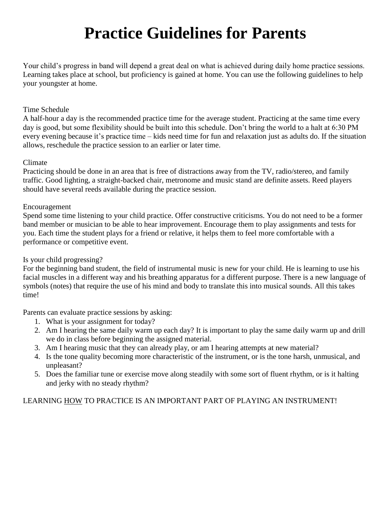### **Practice Guidelines for Parents**

Your child's progress in band will depend a great deal on what is achieved during daily home practice sessions. Learning takes place at school, but proficiency is gained at home. You can use the following guidelines to help your youngster at home.

#### Time Schedule

A half-hour a day is the recommended practice time for the average student. Practicing at the same time every day is good, but some flexibility should be built into this schedule. Don't bring the world to a halt at 6:30 PM every evening because it's practice time – kids need time for fun and relaxation just as adults do. If the situation allows, reschedule the practice session to an earlier or later time.

#### Climate

Practicing should be done in an area that is free of distractions away from the TV, radio/stereo, and family traffic. Good lighting, a straight-backed chair, metronome and music stand are definite assets. Reed players should have several reeds available during the practice session.

#### Encouragement

Spend some time listening to your child practice. Offer constructive criticisms. You do not need to be a former band member or musician to be able to hear improvement. Encourage them to play assignments and tests for you. Each time the student plays for a friend or relative, it helps them to feel more comfortable with a performance or competitive event.

#### Is your child progressing?

For the beginning band student, the field of instrumental music is new for your child. He is learning to use his facial muscles in a different way and his breathing apparatus for a different purpose. There is a new language of symbols (notes) that require the use of his mind and body to translate this into musical sounds. All this takes time!

Parents can evaluate practice sessions by asking:

- 1. What is your assignment for today?
- 2. Am I hearing the same daily warm up each day? It is important to play the same daily warm up and drill we do in class before beginning the assigned material.
- 3. Am I hearing music that they can already play, or am I hearing attempts at new material?
- 4. Is the tone quality becoming more characteristic of the instrument, or is the tone harsh, unmusical, and unpleasant?
- 5. Does the familiar tune or exercise move along steadily with some sort of fluent rhythm, or is it halting and jerky with no steady rhythm?

#### LEARNING HOW TO PRACTICE IS AN IMPORTANT PART OF PLAYING AN INSTRUMENT!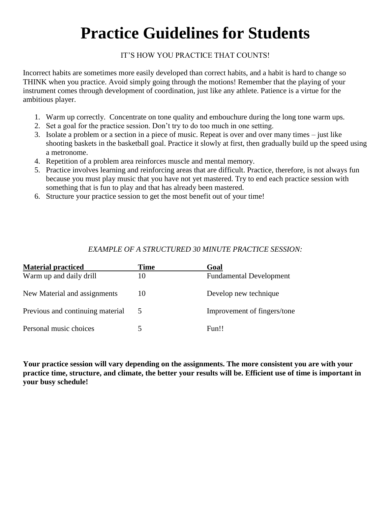### **Practice Guidelines for Students**

#### IT'S HOW YOU PRACTICE THAT COUNTS!

Incorrect habits are sometimes more easily developed than correct habits, and a habit is hard to change so THINK when you practice. Avoid simply going through the motions! Remember that the playing of your instrument comes through development of coordination, just like any athlete. Patience is a virtue for the ambitious player.

- 1. Warm up correctly. Concentrate on tone quality and embouchure during the long tone warm ups.
- 2. Set a goal for the practice session. Don't try to do too much in one setting.
- 3. Isolate a problem or a section in a piece of music. Repeat is over and over many times just like shooting baskets in the basketball goal. Practice it slowly at first, then gradually build up the speed using a metronome.
- 4. Repetition of a problem area reinforces muscle and mental memory.
- 5. Practice involves learning and reinforcing areas that are difficult. Practice, therefore, is not always fun because you must play music that you have not yet mastered. Try to end each practice session with something that is fun to play and that has already been mastered.
- 6. Structure your practice session to get the most benefit out of your time!

#### *EXAMPLE OF A STRUCTURED 30 MINUTE PRACTICE SESSION:*

| <b>Material practiced</b>        | <b>Time</b> | Goal                           |
|----------------------------------|-------------|--------------------------------|
| Warm up and daily drill          | 10          | <b>Fundamental Development</b> |
| New Material and assignments     | 10          | Develop new technique          |
| Previous and continuing material | 5           | Improvement of fingers/tone    |
| Personal music choices           |             | Fun!!                          |

**Your practice session will vary depending on the assignments. The more consistent you are with your practice time, structure, and climate, the better your results will be. Efficient use of time is important in your busy schedule!**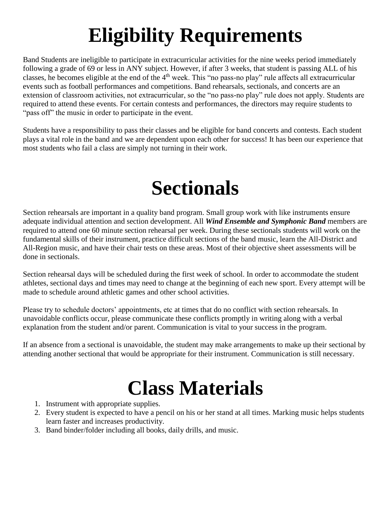# **Eligibility Requirements**

Band Students are ineligible to participate in extracurricular activities for the nine weeks period immediately following a grade of 69 or less in ANY subject. However, if after 3 weeks, that student is passing ALL of his classes, he becomes eligible at the end of the 4th week. This "no pass-no play" rule affects all extracurricular events such as football performances and competitions. Band rehearsals, sectionals, and concerts are an extension of classroom activities, not extracurricular, so the "no pass-no play" rule does not apply. Students are required to attend these events. For certain contests and performances, the directors may require students to "pass of f" the music in order to participate in the event.

Students have a responsibility to pass their classes and be eligible for band concerts and contests. Each student plays a vital role in the band and we are dependent upon each other for success! It has been our experience that most students who fail a class are simply not turning in their work.

### **Sectionals**

Section rehearsals are important in a quality band program. Small group work with like instruments ensure adequate individual attention and section development. All *Wind Ensemble and Symphonic Band* members are required to attend one 60 minute section rehearsal per week. During these sectionals students will work on the fundamental skills of their instrument, practice difficult sections of the band music, learn the All-District and All-Region music, and have their chair tests on these areas. Most of their objective sheet assessments will be done in sectionals.

Section rehearsal days will be scheduled during the first week of school. In order to accommodate the student athletes, sectional days and times may need to change at the beginning of each new sport. Every attempt will be made to schedule around athletic games and other school activities.

Please try to schedule doctors' appointments, etc at times that do no conflict with section rehearsals. In unavoidable conflicts occur, please communicate these conflicts promptly in writing along with a verbal explanation from the student and/or parent. Communication is vital to your success in the program.

If an absence from a sectional is unavoidable, the student may make arrangements to make up their sectional by attending another sectional that would be appropriate for their instrument. Communication is still necessary.

## **Class Materials**

- 1. Instrument with appropriate supplies.
- 2. Every student is expected to have a pencil on his or her stand at all times. Marking music helps students learn faster and increases productivity.
- 3. Band binder/folder including all books, daily drills, and music.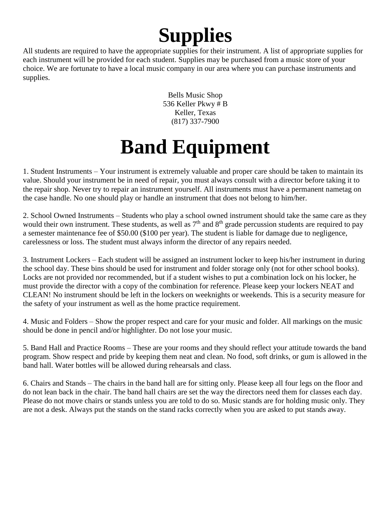# **Supplies**

All students are required to have the appropriate supplies for their instrument. A list of appropriate supplies for each instrument will be provided for each student. Supplies may be purchased from a music store of your choice. We are fortunate to have a local music company in our area where you can purchase instruments and supplies.

> Bells Music Shop 536 Keller Pkwy # B Keller, Texas (817) 337-7900

# **Band Equipment**

1. Student Instruments – Your instrument is extremely valuable and proper care should be taken to maintain its value. Should your instrument be in need of repair, you must always consult with a director before taking it to the repair shop. Never try to repair an instrument yourself. All instruments must have a permanent nametag on the case handle. No one should play or handle an instrument that does not belong to him/her.

2. School Owned Instruments – Students who play a school owned instrument should take the same care as they would their own instrument. These students, as well as  $7<sup>th</sup>$  and  $8<sup>th</sup>$  grade percussion students are required to pay a semester maintenance fee of \$50.00 (\$100 per year). The student is liable for damage due to negligence, carelessness or loss. The student must always inform the director of any repairs needed.

3. Instrument Lockers – Each student will be assigned an instrument locker to keep his/her instrument in during the school day. These bins should be used for instrument and folder storage only (not for other school books). Locks are not provided nor recommended, but if a student wishes to put a combination lock on his locker, he must provide the director with a copy of the combination for reference. Please keep your lockers NEAT and CLEAN! No instrument should be left in the lockers on weeknights or weekends. This is a security measure for the safety of your instrument as well as the home practice requirement.

4. Music and Folders – Show the proper respect and care for your music and folder. All markings on the music should be done in pencil and/or highlighter. Do not lose your music.

5. Band Hall and Practice Rooms – These are your rooms and they should reflect your attitude towards the band program. Show respect and pride by keeping them neat and clean. No food, soft drinks, or gum is allowed in the band hall. Water bottles will be allowed during rehearsals and class.

6. Chairs and Stands – The chairs in the band hall are for sitting only. Please keep all four legs on the floor and do not lean back in the chair. The band hall chairs are set the way the directors need them for classes each day. Please do not move chairs or stands unless you are told to do so. Music stands are for holding music only. They are not a desk. Always put the stands on the stand racks correctly when you are asked to put stands away.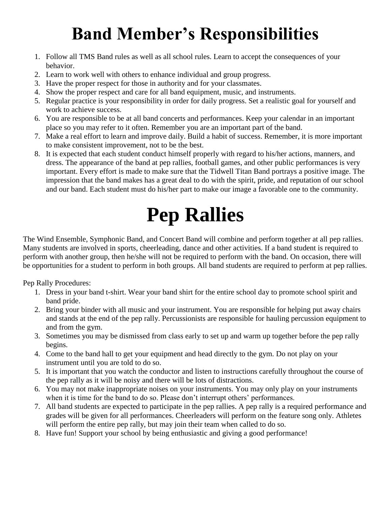### **Band Member's Responsibilities**

- 1. Follow all TMS Band rules as well as all school rules. Learn to accept the consequences of your behavior.
- 2. Learn to work well with others to enhance individual and group progress.
- 3. Have the proper respect for those in authority and for your classmates.
- 4. Show the proper respect and care for all band equipment, music, and instruments.
- 5. Regular practice is your responsibility in order for daily progress. Set a realistic goal for yourself and work to achieve success.
- 6. You are responsible to be at all band concerts and performances. Keep your calendar in an important place so you may refer to it often. Remember you are an important part of the band.
- 7. Make a real effort to learn and improve daily. Build a habit of success. Remember, it is more important to make consistent improvement, not to be the best.
- 8. It is expected that each student conduct himself properly with regard to his/her actions, manners, and dress. The appearance of the band at pep rallies, football games, and other public performances is very important. Every effort is made to make sure that the Tidwell Titan Band portrays a positive image. The impression that the band makes has a great deal to do with the spirit, pride, and reputation of our school and our band. Each student must do his/her part to make our image a favorable one to the community.

# **Pep Rallies**

The Wind Ensemble, Symphonic Band, and Concert Band will combine and perform together at all pep rallies. Many students are involved in sports, cheerleading, dance and other activities. If a band student is required to perform with another group, then he/she will not be required to perform with the band. On occasion, there will be opportunities for a student to perform in both groups. All band students are required to perform at pep rallies.

Pep Rally Procedures:

- 1. Dress in your band t-shirt. Wear your band shirt for the entire school day to promote school spirit and band pride.
- 2. Bring your binder with all music and your instrument. You are responsible for helping put away chairs and stands at the end of the pep rally. Percussionists are responsible for hauling percussion equipment to and from the gym.
- 3. Sometimes you may be dismissed from class early to set up and warm up together before the pep rally begins.
- 4. Come to the band hall to get your equipment and head directly to the gym. Do not play on your instrument until you are told to do so.
- 5. It is important that you watch the conductor and listen to instructions carefully throughout the course of the pep rally as it will be noisy and there will be lots of distractions.
- 6. You may not make inappropriate noises on your instruments. You may only play on your instruments when it is time for the band to do so. Please don't interrupt others' performances.
- 7. All band students are expected to participate in the pep rallies. A pep rally is a required performance and grades will be given for all performances. Cheerleaders will perform on the feature song only. Athletes will perform the entire pep rally, but may join their team when called to do so.
- 8. Have fun! Support your school by being enthusiastic and giving a good performance!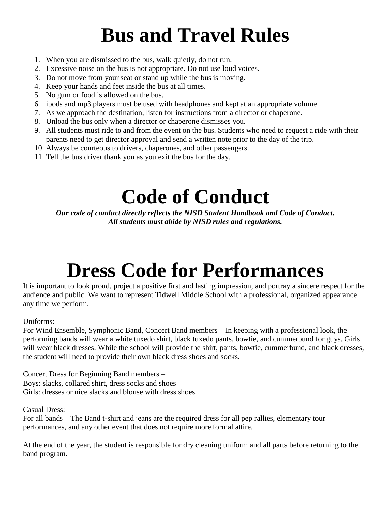# **Bus and Travel Rules**

- 1. When you are dismissed to the bus, walk quietly, do not run.
- 2. Excessive noise on the bus is not appropriate. Do not use loud voices.
- 3. Do not move from your seat or stand up while the bus is moving.
- 4. Keep your hands and feet inside the bus at all times.
- 5. No gum or food is allowed on the bus.
- 6. ipods and mp3 players must be used with headphones and kept at an appropriate volume.
- 7. As we approach the destination, listen for instructions from a director or chaperone.
- 8. Unload the bus only when a director or chaperone dismisses you.
- 9. All students must ride to and from the event on the bus. Students who need to request a ride with their parents need to get director approval and send a written note prior to the day of the trip.
- 10. Always be courteous to drivers, chaperones, and other passengers.
- 11. Tell the bus driver thank you as you exit the bus for the day.

# **Code of Conduct**

*Our code of conduct directly reflects the NISD Student Handbook and Code of Conduct. All students must abide by NISD rules and regulations.* 

# **Dress Code for Performances**

It is important to look proud, project a positive first and lasting impression, and portray a sincere respect for the audience and public. We want to represent Tidwell Middle School with a professional, organized appearance any time we perform.

#### Uniforms:

For Wind Ensemble, Symphonic Band, Concert Band members – In keeping with a professional look, the performing bands will wear a white tuxedo shirt, black tuxedo pants, bowtie, and cummerbund for guys. Girls will wear black dresses. While the school will provide the shirt, pants, bowtie, cummerbund, and black dresses, the student will need to provide their own black dress shoes and socks.

Concert Dress for Beginning Band members – Boys: slacks, collared shirt, dress socks and shoes Girls: dresses or nice slacks and blouse with dress shoes

Casual Dress:

For all bands – The Band t-shirt and jeans are the required dress for all pep rallies, elementary tour performances, and any other event that does not require more formal attire.

At the end of the year, the student is responsible for dry cleaning uniform and all parts before returning to the band program.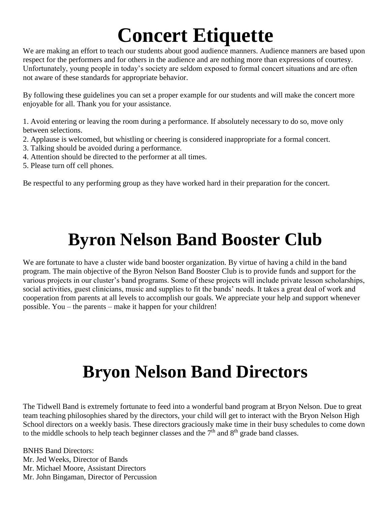# **Concert Etiquette**

We are making an effort to teach our students about good audience manners. Audience manners are based upon respect for the performers and for others in the audience and are nothing more than expressions of courtesy. Unfortunately, young people in today's society are seldom exposed to formal concert situations and are often not aware of these standards for appropriate behavior.

By following these guidelines you can set a proper example for our students and will make the concert more enjoyable for all. Thank you for your assistance.

1. Avoid entering or leaving the room during a performance. If absolutely necessary to do so, move only between selections.

- 2. Applause is welcomed, but whistling or cheering is considered inappropriate for a formal concert.
- 3. Talking should be avoided during a performance.
- 4. Attention should be directed to the performer at all times.
- 5. Please turn off cell phones.

Be respectful to any performing group as they have worked hard in their preparation for the concert.

### **Byron Nelson Band Booster Club**

We are fortunate to have a cluster wide band booster organization. By virtue of having a child in the band program. The main objective of the Byron Nelson Band Booster Club is to provide funds and support for the various projects in our cluster's band programs. Some of these projects will include private lesson scholarships, social activities, guest clinicians, music and supplies to fit the bands' needs. It takes a great deal of work and cooperation from parents at all levels to accomplish our goals. We appreciate your help and support whenever possible. You – the parents – make it happen for your children!

### **Bryon Nelson Band Directors**

The Tidwell Band is extremely fortunate to feed into a wonderful band program at Bryon Nelson. Due to great team teaching philosophies shared by the directors, your child will get to interact with the Bryon Nelson High School directors on a weekly basis. These directors graciously make time in their busy schedules to come down to the middle schools to help teach beginner classes and the  $7<sup>th</sup>$  and  $8<sup>th</sup>$  grade band classes.

BNHS Band Directors: Mr. Jed Weeks, Director of Bands Mr. Michael Moore, Assistant Directors Mr. John Bingaman, Director of Percussion